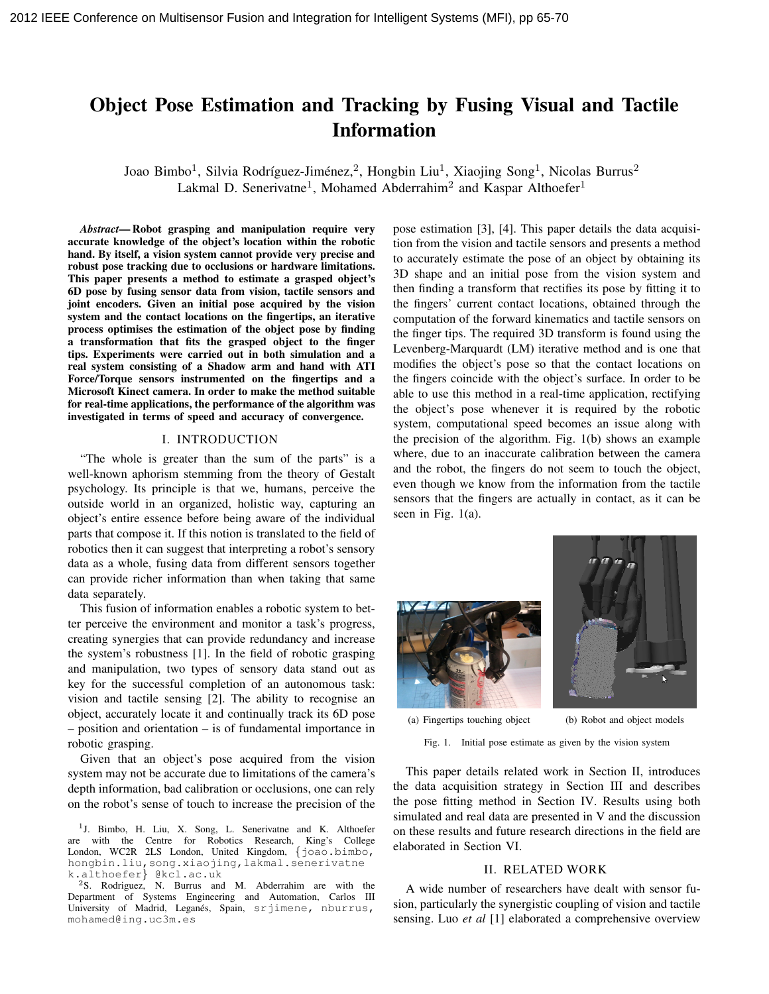# Object Pose Estimation and Tracking by Fusing Visual and Tactile Information

Joao Bimbo<sup>1</sup>, Silvia Rodríguez-Jiménez,<sup>2</sup>, Hongbin Liu<sup>1</sup>, Xiaojing Song<sup>1</sup>, Nicolas Burrus<sup>2</sup> Lakmal D. Senerivatne<sup>1</sup>, Mohamed Abderrahim<sup>2</sup> and Kaspar Althoefer<sup>1</sup>

*Abstract*— Robot grasping and manipulation require very accurate knowledge of the object's location within the robotic hand. By itself, a vision system cannot provide very precise and robust pose tracking due to occlusions or hardware limitations. This paper presents a method to estimate a grasped object's 6D pose by fusing sensor data from vision, tactile sensors and joint encoders. Given an initial pose acquired by the vision system and the contact locations on the fingertips, an iterative process optimises the estimation of the object pose by finding a transformation that fits the grasped object to the finger tips. Experiments were carried out in both simulation and a real system consisting of a Shadow arm and hand with ATI Force/Torque sensors instrumented on the fingertips and a Microsoft Kinect camera. In order to make the method suitable for real-time applications, the performance of the algorithm was investigated in terms of speed and accuracy of convergence.

#### I. INTRODUCTION

"The whole is greater than the sum of the parts" is a well-known aphorism stemming from the theory of Gestalt psychology. Its principle is that we, humans, perceive the outside world in an organized, holistic way, capturing an object's entire essence before being aware of the individual parts that compose it. If this notion is translated to the field of robotics then it can suggest that interpreting a robot's sensory data as a whole, fusing data from different sensors together can provide richer information than when taking that same data separately.

This fusion of information enables a robotic system to better perceive the environment and monitor a task's progress, creating synergies that can provide redundancy and increase the system's robustness [1]. In the field of robotic grasping and manipulation, two types of sensory data stand out as key for the successful completion of an autonomous task: vision and tactile sensing [2]. The ability to recognise an object, accurately locate it and continually track its 6D pose – position and orientation – is of fundamental importance in robotic grasping.

Given that an object's pose acquired from the vision system may not be accurate due to limitations of the camera's depth information, bad calibration or occlusions, one can rely on the robot's sense of touch to increase the precision of the

<sup>1</sup>J. Bimbo, H. Liu, X. Song, L. Senerivatne and K. Althoefer are with the Centre for Robotics Research, King's College London, WC2R 2LS London, United Kingdom, {joao.bimbo, hongbin.liu,song.xiaojing,lakmal.senerivatne k.althoefer} @kcl.ac.uk

<sup>2</sup>S. Rodriguez, N. Burrus and M. Abderrahim are with the Department of Systems Engineering and Automation, Carlos III University of Madrid, Leganés, Spain, srjimene, nburrus, mohamed@ing.uc3m.es

pose estimation [3], [4]. This paper details the data acquisition from the vision and tactile sensors and presents a method to accurately estimate the pose of an object by obtaining its 3D shape and an initial pose from the vision system and then finding a transform that rectifies its pose by fitting it to the fingers' current contact locations, obtained through the computation of the forward kinematics and tactile sensors on the finger tips. The required 3D transform is found using the Levenberg-Marquardt (LM) iterative method and is one that modifies the object's pose so that the contact locations on the fingers coincide with the object's surface. In order to be able to use this method in a real-time application, rectifying the object's pose whenever it is required by the robotic system, computational speed becomes an issue along with the precision of the algorithm. Fig. 1(b) shows an example where, due to an inaccurate calibration between the camera and the robot, the fingers do not seem to touch the object, even though we know from the information from the tactile sensors that the fingers are actually in contact, as it can be seen in Fig. 1(a).





(a) Fingertips touching object (b) Robot and object models

Fig. 1. Initial pose estimate as given by the vision system

This paper details related work in Section II, introduces the data acquisition strategy in Section III and describes the pose fitting method in Section IV. Results using both simulated and real data are presented in V and the discussion on these results and future research directions in the field are elaborated in Section VI.

#### II. RELATED WORK

A wide number of researchers have dealt with sensor fusion, particularly the synergistic coupling of vision and tactile sensing. Luo *et al* [1] elaborated a comprehensive overview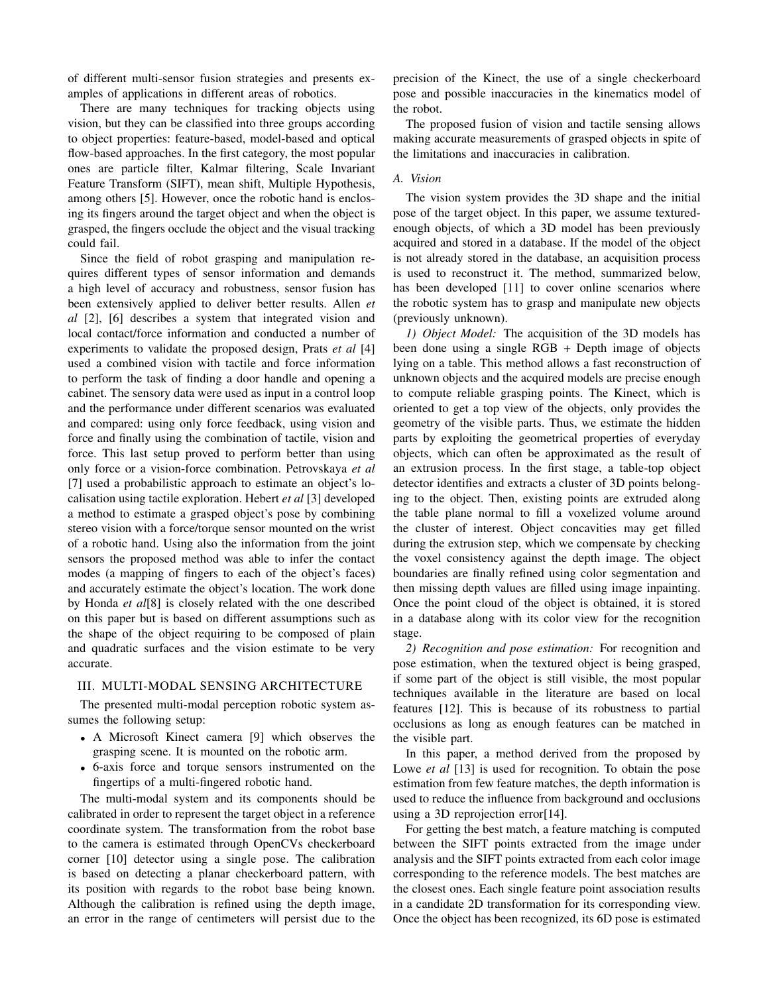of different multi-sensor fusion strategies and presents examples of applications in different areas of robotics.

There are many techniques for tracking objects using vision, but they can be classified into three groups according to object properties: feature-based, model-based and optical flow-based approaches. In the first category, the most popular ones are particle filter, Kalmar filtering, Scale Invariant Feature Transform (SIFT), mean shift, Multiple Hypothesis, among others [5]. However, once the robotic hand is enclosing its fingers around the target object and when the object is grasped, the fingers occlude the object and the visual tracking could fail.

Since the field of robot grasping and manipulation requires different types of sensor information and demands a high level of accuracy and robustness, sensor fusion has been extensively applied to deliver better results. Allen *et al* [2], [6] describes a system that integrated vision and local contact/force information and conducted a number of experiments to validate the proposed design, Prats *et al* [4] used a combined vision with tactile and force information to perform the task of finding a door handle and opening a cabinet. The sensory data were used as input in a control loop and the performance under different scenarios was evaluated and compared: using only force feedback, using vision and force and finally using the combination of tactile, vision and force. This last setup proved to perform better than using only force or a vision-force combination. Petrovskaya *et al* [7] used a probabilistic approach to estimate an object's localisation using tactile exploration. Hebert *et al* [3] developed a method to estimate a grasped object's pose by combining stereo vision with a force/torque sensor mounted on the wrist of a robotic hand. Using also the information from the joint sensors the proposed method was able to infer the contact modes (a mapping of fingers to each of the object's faces) and accurately estimate the object's location. The work done by Honda *et al*[8] is closely related with the one described on this paper but is based on different assumptions such as the shape of the object requiring to be composed of plain and quadratic surfaces and the vision estimate to be very accurate.

#### III. MULTI-MODAL SENSING ARCHITECTURE

The presented multi-modal perception robotic system assumes the following setup:

- A Microsoft Kinect camera [9] which observes the grasping scene. It is mounted on the robotic arm.
- 6-axis force and torque sensors instrumented on the fingertips of a multi-fingered robotic hand.

The multi-modal system and its components should be calibrated in order to represent the target object in a reference coordinate system. The transformation from the robot base to the camera is estimated through OpenCVs checkerboard corner [10] detector using a single pose. The calibration is based on detecting a planar checkerboard pattern, with its position with regards to the robot base being known. Although the calibration is refined using the depth image, an error in the range of centimeters will persist due to the

precision of the Kinect, the use of a single checkerboard pose and possible inaccuracies in the kinematics model of the robot.

The proposed fusion of vision and tactile sensing allows making accurate measurements of grasped objects in spite of the limitations and inaccuracies in calibration.

## *A. Vision*

The vision system provides the 3D shape and the initial pose of the target object. In this paper, we assume texturedenough objects, of which a 3D model has been previously acquired and stored in a database. If the model of the object is not already stored in the database, an acquisition process is used to reconstruct it. The method, summarized below, has been developed [11] to cover online scenarios where the robotic system has to grasp and manipulate new objects (previously unknown).

*1) Object Model:* The acquisition of the 3D models has been done using a single RGB + Depth image of objects lying on a table. This method allows a fast reconstruction of unknown objects and the acquired models are precise enough to compute reliable grasping points. The Kinect, which is oriented to get a top view of the objects, only provides the geometry of the visible parts. Thus, we estimate the hidden parts by exploiting the geometrical properties of everyday objects, which can often be approximated as the result of an extrusion process. In the first stage, a table-top object detector identifies and extracts a cluster of 3D points belonging to the object. Then, existing points are extruded along the table plane normal to fill a voxelized volume around the cluster of interest. Object concavities may get filled during the extrusion step, which we compensate by checking the voxel consistency against the depth image. The object boundaries are finally refined using color segmentation and then missing depth values are filled using image inpainting. Once the point cloud of the object is obtained, it is stored in a database along with its color view for the recognition stage.

*2) Recognition and pose estimation:* For recognition and pose estimation, when the textured object is being grasped, if some part of the object is still visible, the most popular techniques available in the literature are based on local features [12]. This is because of its robustness to partial occlusions as long as enough features can be matched in the visible part.

In this paper, a method derived from the proposed by Lowe *et al* [13] is used for recognition. To obtain the pose estimation from few feature matches, the depth information is used to reduce the influence from background and occlusions using a 3D reprojection error[14].

For getting the best match, a feature matching is computed between the SIFT points extracted from the image under analysis and the SIFT points extracted from each color image corresponding to the reference models. The best matches are the closest ones. Each single feature point association results in a candidate 2D transformation for its corresponding view. Once the object has been recognized, its 6D pose is estimated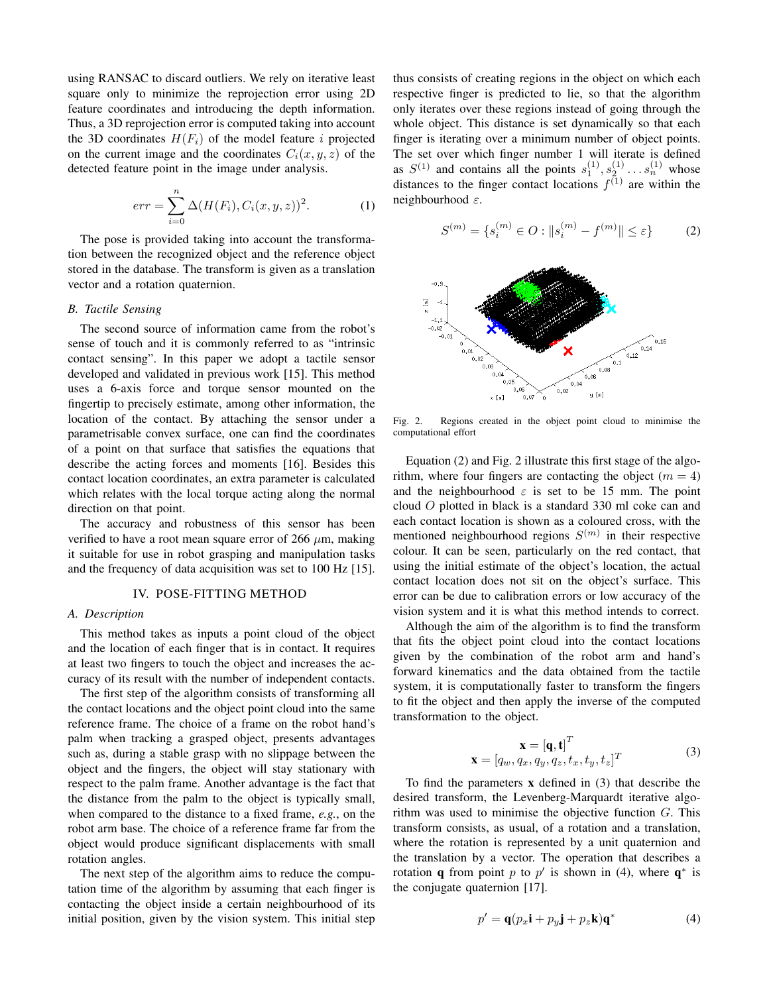using RANSAC to discard outliers. We rely on iterative least square only to minimize the reprojection error using 2D feature coordinates and introducing the depth information. Thus, a 3D reprojection error is computed taking into account the 3D coordinates  $H(F_i)$  of the model feature i projected on the current image and the coordinates  $C_i(x, y, z)$  of the detected feature point in the image under analysis.

$$
err = \sum_{i=0}^{n} \Delta(H(F_i), C_i(x, y, z))^2.
$$
 (1)

The pose is provided taking into account the transformation between the recognized object and the reference object stored in the database. The transform is given as a translation vector and a rotation quaternion.

### *B. Tactile Sensing*

The second source of information came from the robot's sense of touch and it is commonly referred to as "intrinsic contact sensing". In this paper we adopt a tactile sensor developed and validated in previous work [15]. This method uses a 6-axis force and torque sensor mounted on the fingertip to precisely estimate, among other information, the location of the contact. By attaching the sensor under a parametrisable convex surface, one can find the coordinates of a point on that surface that satisfies the equations that describe the acting forces and moments [16]. Besides this contact location coordinates, an extra parameter is calculated which relates with the local torque acting along the normal direction on that point.

The accuracy and robustness of this sensor has been verified to have a root mean square error of 266  $\mu$ m, making it suitable for use in robot grasping and manipulation tasks and the frequency of data acquisition was set to 100 Hz [15].

## IV. POSE-FITTING METHOD

#### *A. Description*

This method takes as inputs a point cloud of the object and the location of each finger that is in contact. It requires at least two fingers to touch the object and increases the accuracy of its result with the number of independent contacts.

The first step of the algorithm consists of transforming all the contact locations and the object point cloud into the same reference frame. The choice of a frame on the robot hand's palm when tracking a grasped object, presents advantages such as, during a stable grasp with no slippage between the object and the fingers, the object will stay stationary with respect to the palm frame. Another advantage is the fact that the distance from the palm to the object is typically small, when compared to the distance to a fixed frame, *e.g.*, on the robot arm base. The choice of a reference frame far from the object would produce significant displacements with small rotation angles.

The next step of the algorithm aims to reduce the computation time of the algorithm by assuming that each finger is contacting the object inside a certain neighbourhood of its initial position, given by the vision system. This initial step thus consists of creating regions in the object on which each respective finger is predicted to lie, so that the algorithm only iterates over these regions instead of going through the whole object. This distance is set dynamically so that each finger is iterating over a minimum number of object points. The set over which finger number 1 will iterate is defined as  $S^{(1)}$  and contains all the points  $s_1^{(1)}, s_2^{(1)} \dots s_n^{(1)}$  whose distances to the finger contact locations  $f^{(1)}$  are within the neighbourhood ε.

$$
S^{(m)} = \{s_i^{(m)} \in O : ||s_i^{(m)} - f^{(m)}|| \le \varepsilon\}
$$
 (2)



Fig. 2. Regions created in the object point cloud to minimise the computational effort

Equation (2) and Fig. 2 illustrate this first stage of the algorithm, where four fingers are contacting the object  $(m = 4)$ and the neighbourhood  $\varepsilon$  is set to be 15 mm. The point cloud O plotted in black is a standard 330 ml coke can and each contact location is shown as a coloured cross, with the mentioned neighbourhood regions  $S^{(m)}$  in their respective colour. It can be seen, particularly on the red contact, that using the initial estimate of the object's location, the actual contact location does not sit on the object's surface. This error can be due to calibration errors or low accuracy of the vision system and it is what this method intends to correct.

Although the aim of the algorithm is to find the transform that fits the object point cloud into the contact locations given by the combination of the robot arm and hand's forward kinematics and the data obtained from the tactile system, it is computationally faster to transform the fingers to fit the object and then apply the inverse of the computed transformation to the object.

$$
\mathbf{x} = [\mathbf{q}, \mathbf{t}]^T
$$
  

$$
\mathbf{x} = [q_w, q_x, q_y, q_z, t_x, t_y, t_z]^T
$$
 (3)

To find the parameters  $x$  defined in  $(3)$  that describe the desired transform, the Levenberg-Marquardt iterative algorithm was used to minimise the objective function  $G$ . This transform consists, as usual, of a rotation and a translation, where the rotation is represented by a unit quaternion and the translation by a vector. The operation that describes a rotation **q** from point p to p' is shown in (4), where  $\mathbf{q}^*$  is the conjugate quaternion [17].

$$
p' = \mathbf{q}(p_x \mathbf{i} + p_y \mathbf{j} + p_z \mathbf{k}) \mathbf{q}^*
$$
 (4)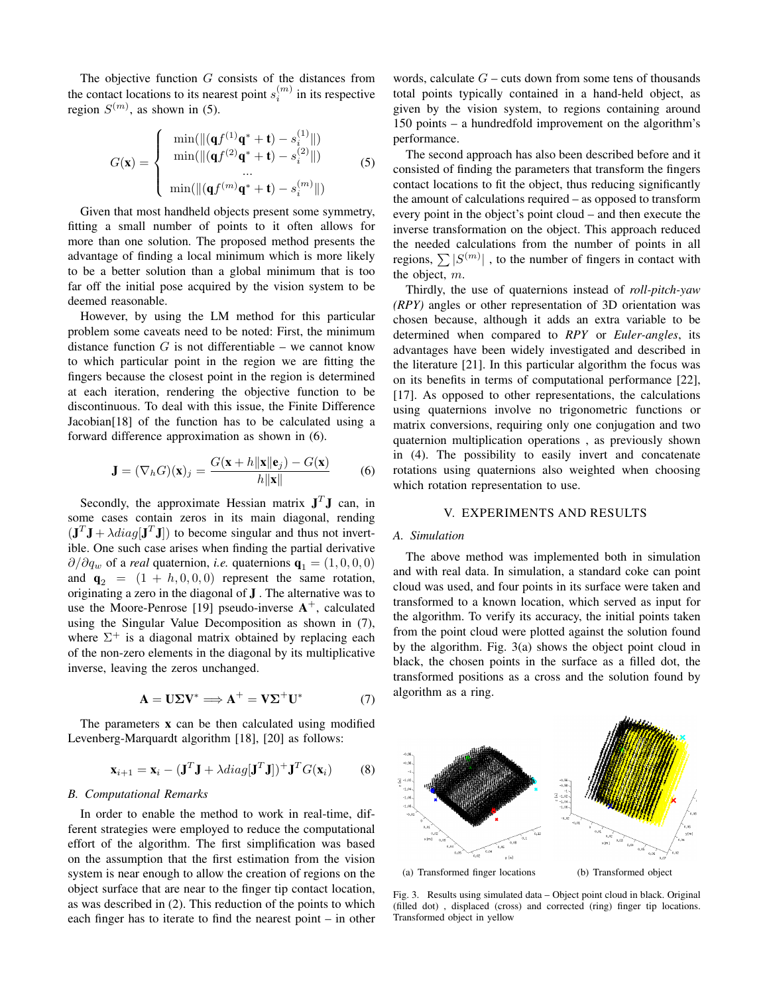The objective function G consists of the distances from the contact locations to its nearest point  $s_i^{(m)}$  in its respective region  $S^{(m)}$ , as shown in (5).

$$
G(\mathbf{x}) = \begin{cases} \min(\|(\mathbf{q}f^{(1)}\mathbf{q}^* + \mathbf{t}) - s_i^{(1)}\|) \\ \min(\|(\mathbf{q}f^{(2)}\mathbf{q}^* + \mathbf{t}) - s_i^{(2)}\|) \\ \dots \\ \min(\|(\mathbf{q}f^{(m)}\mathbf{q}^* + \mathbf{t}) - s_i^{(m)}\|)\end{cases}
$$
(5)

Given that most handheld objects present some symmetry, fitting a small number of points to it often allows for more than one solution. The proposed method presents the advantage of finding a local minimum which is more likely to be a better solution than a global minimum that is too far off the initial pose acquired by the vision system to be deemed reasonable.

However, by using the LM method for this particular problem some caveats need to be noted: First, the minimum distance function  $G$  is not differentiable – we cannot know to which particular point in the region we are fitting the fingers because the closest point in the region is determined at each iteration, rendering the objective function to be discontinuous. To deal with this issue, the Finite Difference Jacobian[18] of the function has to be calculated using a forward difference approximation as shown in (6).

$$
\mathbf{J} = (\nabla_h G)(\mathbf{x})_j = \frac{G(\mathbf{x} + h\|\mathbf{x}\| \mathbf{e}_j) - G(\mathbf{x})}{h\|\mathbf{x}\|}
$$
(6)

Secondly, the approximate Hessian matrix  $J<sup>T</sup>J$  can, in some cases contain zeros in its main diagonal, rending  $(\mathbf{J}^T \mathbf{J} + \lambda diag[\mathbf{J}^T \mathbf{J}])$  to become singular and thus not invertible. One such case arises when finding the partial derivative  $\partial/\partial q_w$  of a *real* quaternion, *i.e.* quaternions  $\mathbf{q}_1 = (1, 0, 0, 0)$ and  $\mathbf{q}_2 = (1 + h, 0, 0, 0)$  represent the same rotation, originating a zero in the diagonal of J . The alternative was to use the Moore-Penrose [19] pseudo-inverse  $A^+$ , calculated using the Singular Value Decomposition as shown in (7), where  $\Sigma^+$  is a diagonal matrix obtained by replacing each of the non-zero elements in the diagonal by its multiplicative inverse, leaving the zeros unchanged.

$$
\mathbf{A} = \mathbf{U} \Sigma \mathbf{V}^* \Longrightarrow \mathbf{A}^+ = \mathbf{V} \Sigma^+ \mathbf{U}^* \tag{7}
$$

The parameters  $x$  can be then calculated using modified Levenberg-Marquardt algorithm [18], [20] as follows:

$$
\mathbf{x}_{i+1} = \mathbf{x}_i - (\mathbf{J}^T \mathbf{J} + \lambda \operatorname{diag}[\mathbf{J}^T \mathbf{J}])^+ \mathbf{J}^T G(\mathbf{x}_i)
$$
(8)

#### *B. Computational Remarks*

In order to enable the method to work in real-time, different strategies were employed to reduce the computational effort of the algorithm. The first simplification was based on the assumption that the first estimation from the vision system is near enough to allow the creation of regions on the object surface that are near to the finger tip contact location, as was described in (2). This reduction of the points to which each finger has to iterate to find the nearest point – in other

words, calculate  $G$  – cuts down from some tens of thousands total points typically contained in a hand-held object, as given by the vision system, to regions containing around 150 points – a hundredfold improvement on the algorithm's performance.

The second approach has also been described before and it consisted of finding the parameters that transform the fingers contact locations to fit the object, thus reducing significantly the amount of calculations required – as opposed to transform every point in the object's point cloud – and then execute the inverse transformation on the object. This approach reduced the needed calculations from the number of points in all regions,  $\sum |S^{(m)}|$ , to the number of fingers in contact with the object, m.

Thirdly, the use of quaternions instead of *roll-pitch-yaw (RPY)* angles or other representation of 3D orientation was chosen because, although it adds an extra variable to be determined when compared to *RPY* or *Euler-angles*, its advantages have been widely investigated and described in the literature [21]. In this particular algorithm the focus was on its benefits in terms of computational performance [22], [17]. As opposed to other representations, the calculations using quaternions involve no trigonometric functions or matrix conversions, requiring only one conjugation and two quaternion multiplication operations , as previously shown in (4). The possibility to easily invert and concatenate rotations using quaternions also weighted when choosing which rotation representation to use.

#### V. EXPERIMENTS AND RESULTS

#### *A. Simulation*

The above method was implemented both in simulation and with real data. In simulation, a standard coke can point cloud was used, and four points in its surface were taken and transformed to a known location, which served as input for the algorithm. To verify its accuracy, the initial points taken from the point cloud were plotted against the solution found by the algorithm. Fig. 3(a) shows the object point cloud in black, the chosen points in the surface as a filled dot, the transformed positions as a cross and the solution found by algorithm as a ring.



Fig. 3. Results using simulated data – Object point cloud in black. Original (filled dot) , displaced (cross) and corrected (ring) finger tip locations. Transformed object in yellow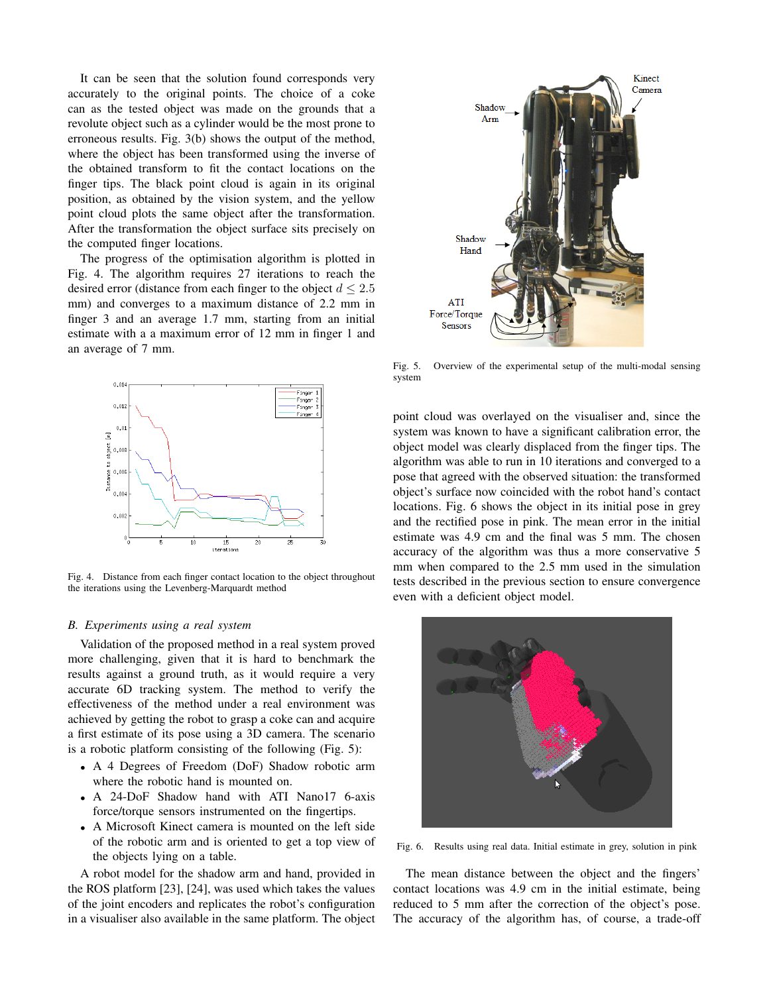It can be seen that the solution found corresponds very accurately to the original points. The choice of a coke can as the tested object was made on the grounds that a revolute object such as a cylinder would be the most prone to erroneous results. Fig. 3(b) shows the output of the method, where the object has been transformed using the inverse of the obtained transform to fit the contact locations on the finger tips. The black point cloud is again in its original position, as obtained by the vision system, and the yellow point cloud plots the same object after the transformation. After the transformation the object surface sits precisely on the computed finger locations.

The progress of the optimisation algorithm is plotted in Fig. 4. The algorithm requires 27 iterations to reach the desired error (distance from each finger to the object  $d \leq 2.5$ mm) and converges to a maximum distance of 2.2 mm in finger 3 and an average 1.7 mm, starting from an initial estimate with a a maximum error of 12 mm in finger 1 and an average of 7 mm.



Fig. 4. Distance from each finger contact location to the object throughout the iterations using the Levenberg-Marquardt method

#### *B. Experiments using a real system*

Validation of the proposed method in a real system proved more challenging, given that it is hard to benchmark the results against a ground truth, as it would require a very accurate 6D tracking system. The method to verify the effectiveness of the method under a real environment was achieved by getting the robot to grasp a coke can and acquire a first estimate of its pose using a 3D camera. The scenario is a robotic platform consisting of the following (Fig. 5):

- A 4 Degrees of Freedom (DoF) Shadow robotic arm where the robotic hand is mounted on.
- A 24-DoF Shadow hand with ATI Nano17 6-axis force/torque sensors instrumented on the fingertips.
- A Microsoft Kinect camera is mounted on the left side of the robotic arm and is oriented to get a top view of the objects lying on a table.

A robot model for the shadow arm and hand, provided in the ROS platform [23], [24], was used which takes the values of the joint encoders and replicates the robot's configuration in a visualiser also available in the same platform. The object



Fig. 5. Overview of the experimental setup of the multi-modal sensing system

point cloud was overlayed on the visualiser and, since the system was known to have a significant calibration error, the object model was clearly displaced from the finger tips. The algorithm was able to run in 10 iterations and converged to a pose that agreed with the observed situation: the transformed object's surface now coincided with the robot hand's contact locations. Fig. 6 shows the object in its initial pose in grey and the rectified pose in pink. The mean error in the initial estimate was 4.9 cm and the final was 5 mm. The chosen accuracy of the algorithm was thus a more conservative 5 mm when compared to the 2.5 mm used in the simulation tests described in the previous section to ensure convergence even with a deficient object model.



Fig. 6. Results using real data. Initial estimate in grey, solution in pink

The mean distance between the object and the fingers' contact locations was 4.9 cm in the initial estimate, being reduced to 5 mm after the correction of the object's pose. The accuracy of the algorithm has, of course, a trade-off